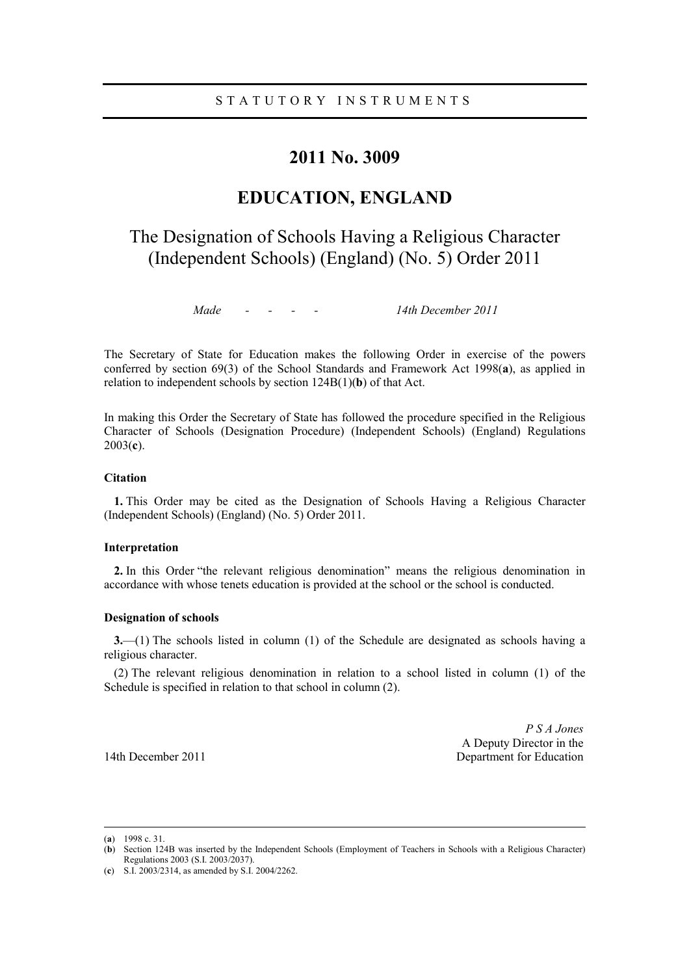# **2011 No. 3009**

# **EDUCATION, ENGLAND**

# The Designation of Schools Having a Religious Character (Independent Schools) (England) (No. 5) Order 2011

*Made - - - - 14th December 2011*

The Secretary of State for Education makes the following Order in exercise of the powers conferred by section 69(3) of the School Standards and Framework Act 1998(**a**), as applied in relation to independent schools by section 124B(1)(**b**) of that Act.

In making this Order the Secretary of State has followed the procedure specified in the Religious Character of Schools (Designation Procedure) (Independent Schools) (England) Regulations 2003(**c**).

## **Citation**

**1.** This Order may be cited as the Designation of Schools Having a Religious Character (Independent Schools) (England) (No. 5) Order 2011.

#### **Interpretation**

**2.** In this Order "the relevant religious denomination" means the religious denomination in accordance with whose tenets education is provided at the school or the school is conducted.

## **Designation of schools**

**3.**—(1) The schools listed in column (1) of the Schedule are designated as schools having a religious character.

(2) The relevant religious denomination in relation to a school listed in column (1) of the Schedule is specified in relation to that school in column (2).

*P S A Jones*  A Deputy Director in the 14th December 2011 **Department for Education** 

(**a**) 1998 c. 31.

<sup>(</sup>**b**) Section 124B was inserted by the Independent Schools (Employment of Teachers in Schools with a Religious Character) Regulations 2003 (S.I. 2003/2037).

<sup>(</sup>**c**) S.I. 2003/2314, as amended by S.I. 2004/2262.